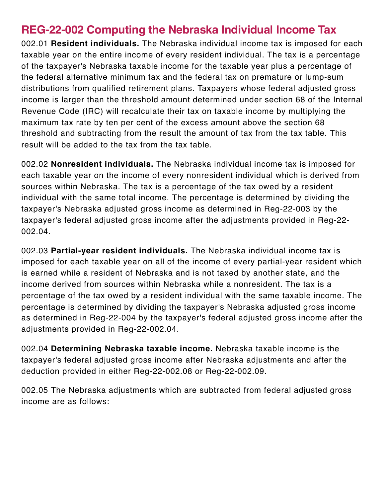## **REG-22-002 Computing the Nebraska Individual Income Tax**

002.01 **Resident individuals.** The Nebraska individual income tax is imposed for each taxable year on the entire income of every resident individual. The tax is a percentage of the taxpayer's Nebraska taxable income for the taxable year plus a percentage of the federal alternative minimum tax and the federal tax on premature or lump-sum distributions from qualified retirement plans. Taxpayers whose federal adjusted gross income is larger than the threshold amount determined under section 68 of the Internal Revenue Code (IRC) will recalculate their tax on taxable income by multiplying the maximum tax rate by ten per cent of the excess amount above the section 68 threshold and subtracting from the result the amount of tax from the tax table. This result will be added to the tax from the tax table.

002.02 **Nonresident individuals.** The Nebraska individual income tax is imposed for each taxable year on the income of every nonresident individual which is derived from sources within Nebraska. The tax is a percentage of the tax owed by a resident individual with the same total income. The percentage is determined by dividing the taxpayer's Nebraska adjusted gross income as determined in Reg-22-003 by the taxpayer's federal adjusted gross income after the adjustments provided in Reg-22- 002.04.

002.03 **Partial-year resident individuals.** The Nebraska individual income tax is imposed for each taxable year on all of the income of every partial-year resident which is earned while a resident of Nebraska and is not taxed by another state, and the income derived from sources within Nebraska while a nonresident. The tax is a percentage of the tax owed by a resident individual with the same taxable income. The percentage is determined by dividing the taxpayer's Nebraska adjusted gross income as determined in Reg-22-004 by the taxpayer's federal adjusted gross income after the adjustments provided in Reg-22-002.04.

002.04 **Determining Nebraska taxable income.** Nebraska taxable income is the taxpayer's federal adjusted gross income after Nebraska adjustments and after the deduction provided in either Reg-22-002.08 or Reg-22-002.09.

002.05 The Nebraska adjustments which are subtracted from federal adjusted gross income are as follows: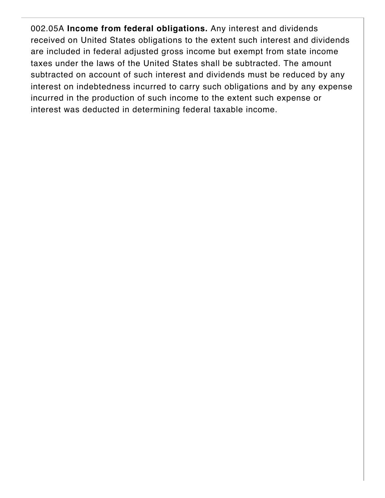002.05A **Income from federal obligations.** Any interest and dividends received on United States obligations to the extent such interest and dividends are included in federal adjusted gross income but exempt from state income taxes under the laws of the United States shall be subtracted. The amount subtracted on account of such interest and dividends must be reduced by any interest on indebtedness incurred to carry such obligations and by any expense incurred in the production of such income to the extent such expense or interest was deducted in determining federal taxable income.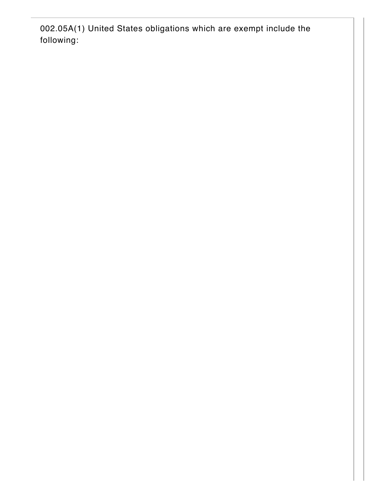002.05A(1) United States obligations which are exempt include the f ollo win g: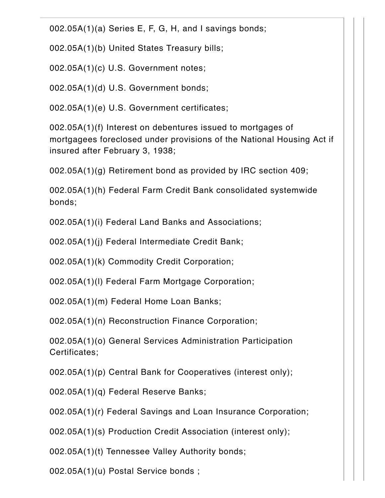002.05A(1)(a) Series E, F, G, H, and I savings bonds;

002.05A(1)(b) United States Treasury bills;

002.05A(1)(c) U.S. Government notes;

002.05A(1)(d) U.S. Government bonds;

002.05A(1)(e) U.S. Government certificates;

002.05A(1)(f) Interest on debentures issued to mortgages of mortgagees foreclosed under provisions of the National Housing Act if insured after February 3, 1938;

002.05A(1)(g) Retirement bond as provided by IRC section 409;

002.05A(1)(h) Federal Farm Credit Bank consolidated systemwide bonds;

002.05A(1)(i) Federal Land Banks and Associations;

002.05A(1)(j) Federal Intermediate Credit Bank;

002.05A(1)(k) Commodity Credit Corporation;

002.05A(1)(l) Federal Farm Mortgage Corporation;

002.05A(1)(m) Federal Home Loan Banks;

002.05A(1)(n) Reconstruction Finance Corporation;

002.05A(1)(o) General Services Administration Participation Certificates;

002.05A(1)(p) Central Bank for Cooperatives (interest only);

002.05A(1)(q) Federal Reserve Banks;

002.05A(1)(r) Federal Savings and Loan Insurance Corporation;

002.05A(1)(s) Production Credit Association (interest only);

002.05A(1)(t) Tennessee Valley Authority bonds;

002.05A(1)(u) Postal Service bonds ;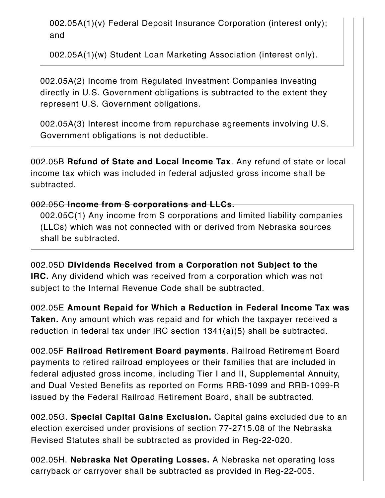002.05A(1)(v) Federal Deposit Insurance Corporation (interest only); and

002.05A(1)(w) Student Loan Marketing Association (interest only).

002.05A(2) Income from Regulated Investment Companies investing directly in U.S. Government obligations is subtracted to the extent they represent U.S. Government obligations.

002.05A(3) Interest income from repurchase agreements involving U.S. Government obligations is not deductible.

002.05B **Refund of State and Local Income Tax**. Any refund of state or local income tax which was included in federal adjusted gross income shall be subtracted.

002.05C **Income from S corporations and LLCs.** 002.05C(1) Any income from S corporations and limited liability companies (LLCs) which was not connected with or derived from Nebraska sources shall be subtracted.

002.05D **Dividends Received from a Corporation not Subject to the IRC.** Any dividend which was received from a corporation which was not subject to the Internal Revenue Code shall be subtracted.

002.05E **Amount Repaid for Which a Reduction in Federal Income Tax was Taken.** Any amount which was repaid and for which the taxpayer received a reduction in federal tax under IRC section 1341(a)(5) shall be subtracted.

002.05F **Railroad Retirement Board payments**. Railroad Retirement Board payments to retired railroad employees or their families that are included in federal adjusted gross income, including Tier I and II, Supplemental Annuity, and Dual Vested Benefits as reported on Forms RRB-1099 and RRB-1099-R issued by the Federal Railroad Retirement Board, shall be subtracted.

002.05G. **Special Capital Gains Exclusion.** Capital gains excluded due to an election exercised under provisions of section 77-2715.08 of the Nebraska Revised Statutes shall be subtracted as provided in Reg-22-020.

002.05H. **Nebraska Net Operating Losses.** A Nebraska net operating loss carryback or carryover shall be subtracted as provided in Reg-22-005.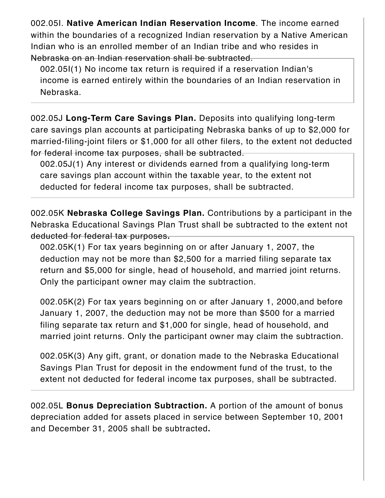002.05I. **Native American Indian Reservation Income**. The income earned within the boundaries of a recognized Indian reservation by a Native American Indian who is an enrolled member of an Indian tribe and who resides in Nebraska on an Indian reservation shall be subtracted.

002.05I(1) No income tax return is required if a reservation Indian's income is earned entirely within the boundaries of an Indian reservation in Nebraska.

002.05J **Long-Term Care Savings Plan.** Deposits into qualifying long-term care savings plan accounts at participating Nebraska banks of up to \$2,000 for married-filing-joint filers or \$1,000 for all other filers, to the extent not deducted for federal income tax purposes, shall be subtracted.

002.05J(1) Any interest or dividends earned from a qualifying long-term care savings plan account within the taxable year, to the extent not deducted for federal income tax purposes, shall be subtracted.

002.05K **Nebraska College Savings Plan.** Contributions by a participant in the Nebraska Educational Savings Plan Trust shall be subtracted to the extent not deducted for federal tax purposes**.**

002.05K(1) For tax years beginning on or after January 1, 2007, the deduction may not be more than \$2,500 for a married filing separate tax return and \$5,000 for single, head of household, and married joint returns. Only the participant owner may claim the subtraction.

002.05K(2) For tax years beginning on or after January 1, 2000,and before January 1, 2007, the deduction may not be more than \$500 for a married filing separate tax return and \$1,000 for single, head of household, and married joint returns. Only the participant owner may claim the subtraction.

002.05K(3) Any gift, grant, or donation made to the Nebraska Educational Savings Plan Trust for deposit in the endowment fund of the trust, to the extent not deducted for federal income tax purposes, shall be subtracted.

002.05L **Bonus Depreciation Subtraction.** A portion of the amount of bonus depreciation added for assets placed in service between September 10, 2001 and December 31, 2005 shall be subtracted**.**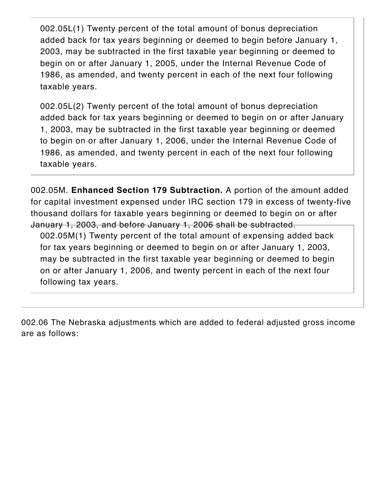002.05L(1) Twenty percent of the total amount of bonus depreciation added back for tax years beginning or deemed to begin before January 1, 2003, may be subtracted in the first taxable year beginning or deemed to begin on or after January 1, 2005, under the Internal Revenue Code of 1986, as amended, and twenty percent in each of the next four following taxable years.

002.05L(2) Twenty percent of the total amount of bonus depreciation added back for tax years beginning or deemed to begin on or after January 1, 2003, may be subtracted in the first taxable year beginning or deemed to begin on or after January 1, 2006, under the Internal Revenue Code of 1986, as amended, and twenty percent in each of the next four following taxable years.

002.05M. **Enhanced Section 179 Subtraction.** A portion of the amount added for capital investment expensed under IRC section 179 in excess of twenty-five thousand dollars for taxable years beginning or deemed to begin on or after January 1, 2003, and before January 1, 2006 shall be subtracted.

002.05M(1) Twenty percent of the total amount of expensing added back for tax years beginning or deemed to begin on or after January 1, 2003, may be subtracted in the first taxable year beginning or deemed to begin on or after January 1, 2006, and twenty percent in each of the next four following tax years.

002.06 The Nebraska adjustments which are added to federal adjusted gross income are as follows: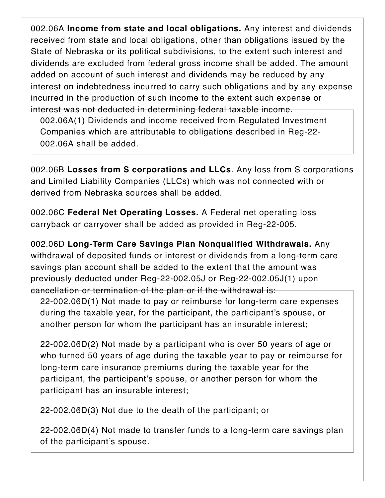002.06A **Income from state and local obligations.** Any interest and dividends received from state and local obligations, other than obligations issued by the State of Nebraska or its political subdivisions, to the extent such interest and dividends are excluded from federal gross income shall be added. The amount added on account of such interest and dividends may be reduced by any interest on indebtedness incurred to carry such obligations and by any expense incurred in the production of such income to the extent such expense or

interest was not deducted in determining federal taxable income. 002.06A(1) Dividends and income received from Regulated Investment Companies which are attributable to obligations described in Reg-22- 002.06A shall be added.

002.06B **Losses from S corporations and LLCs**. Any loss from S corporations and Limited Liability Companies (LLCs) which was not connected with or derived from Nebraska sources shall be added.

002.06C **Federal Net Operating Losses.** A Federal net operating loss carryback or carryover shall be added as provided in Reg-22-005.

002.06D **Long-Term Care Savings Plan Nonqualified Withdrawals.** Any withdrawal of deposited funds or interest or dividends from a long-term care savings plan account shall be added to the extent that the amount was previously deducted under Reg-22-002.05J or Reg-22-002.05J(1) upon cancellation or termination of the plan or if the withdrawal is:

22-002.06D(1) Not made to pay or reimburse for long-term care expenses during the taxable year, for the participant, the participant's spouse, or another person for whom the participant has an insurable interest;

22-002.06D(2) Not made by a participant who is over 50 years of age or who turned 50 years of age during the taxable year to pay or reimburse for long-term care insurance premiums during the taxable year for the participant, the participant's spouse, or another person for whom the participant has an insurable interest;

22-002.06D(3) Not due to the death of the participant; or

22-002.06D(4) Not made to transfer funds to a long-term care savings plan of the participant's spouse.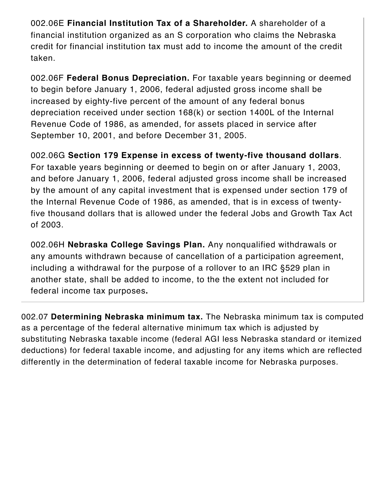002.06E **Financial Institution Tax of a Shareholder.** A shareholder of a financial institution organized as an S corporation who claims the Nebraska credit for financial institution tax must add to income the amount of the credit taken.

002.06F **Federal Bonus Depreciation.** For taxable years beginning or deemed to begin before January 1, 2006, federal adjusted gross income shall be increased by eighty-five percent of the amount of any federal bonus depreciation received under section 168(k) or section 1400L of the Internal Revenue Code of 1986, as amended, for assets placed in service after September 10, 2001, and before December 31, 2005.

002.06G **Section 179 Expense in excess of twenty-five thousand dollars**. For taxable years beginning or deemed to begin on or after January 1, 2003, and before January 1, 2006, federal adjusted gross income shall be increased by the amount of any capital investment that is expensed under section 179 of the Internal Revenue Code of 1986, as amended, that is in excess of twentyfive thousand dollars that is allowed under the federal Jobs and Growth Tax Act of 2003.

002.06H **Nebraska College Savings Plan.** Any nonqualified withdrawals or any amounts withdrawn because of cancellation of a participation agreement, including a withdrawal for the purpose of a rollover to an IRC §529 plan in another state, shall be added to income, to the the extent not included for federal income tax purposes**.**

002.07 **Determining Nebraska minimum tax.** The Nebraska minimum tax is computed as a percentage of the federal alternative minimum tax which is adjusted by substituting Nebraska taxable income (federal AGI less Nebraska standard or itemized deductions) for federal taxable income, and adjusting for any items which are reflected differently in the determination of federal taxable income for Nebraska purposes.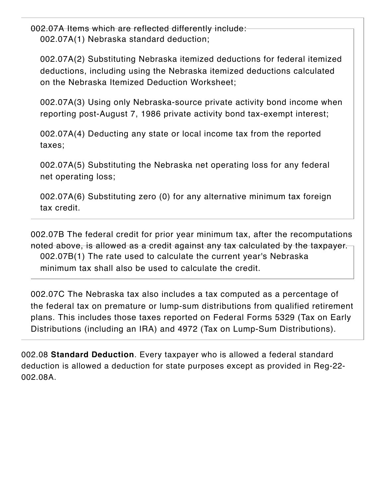002.07A Items which are reflected differently include: 002.07A(1) Nebraska standard deduction;

002.07A(2) Substituting Nebraska itemized deductions for federal itemized deductions, including using the Nebraska itemized deductions calculated on the Nebraska Itemized Deduction Worksheet;

002.07A(3) Using only Nebraska-source private activity bond income when reporting post-August 7, 1986 private activity bond tax-exempt interest;

002.07A(4) Deducting any state or local income tax from the reported taxes;

002.07A(5) Substituting the Nebraska net operating loss for any federal net operating loss;

002.07A(6) Substituting zero (0) for any alternative minimum tax foreign tax credit.

002.07B The federal credit for prior year minimum tax, after the recomputations noted above, is allowed as a credit against any tax calculated by the taxpayer. 002.07B(1) The rate used to calculate the current year's Nebraska minimum tax shall also be used to calculate the credit.

002.07C The Nebraska tax also includes a tax computed as a percentage of the federal tax on premature or lump-sum distributions from qualified retirement plans. This includes those taxes reported on Federal Forms 5329 (Tax on Early Distributions (including an IRA) and 4972 (Tax on Lump-Sum Distributions).

002.08 **Standard Deduction**. Every taxpayer who is allowed a federal standard deduction is allowed a deduction for state purposes except as provided in Reg-22- 002.08A.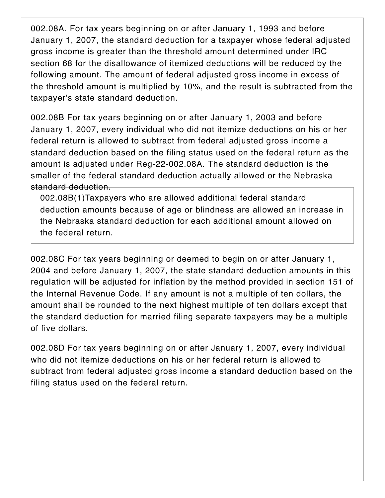002.08A. For tax years beginning on or after January 1, 1993 and before January 1, 2007, the standard deduction for a taxpayer whose federal adjusted gross income is greater than the threshold amount determined under IRC section 68 for the disallowance of itemized deductions will be reduced by the following amount. The amount of federal adjusted gross income in excess of the threshold amount is multiplied by 10%, and the result is subtracted from the taxpayer's state standard deduction.

002.08B For tax years beginning on or after January 1, 2003 and before January 1, 2007, every individual who did not itemize deductions on his or her federal return is allowed to subtract from federal adjusted gross income a standard deduction based on the filing status used on the federal return as the amount is adjusted under Reg-22-002.08A. The standard deduction is the smaller of the federal standard deduction actually allowed or the Nebraska standard deduction.

002.08B(1)Taxpayers who are allowed additional federal standard deduction amounts because of age or blindness are allowed an increase in the Nebraska standard deduction for each additional amount allowed on the federal return.

002.08C For tax years beginning or deemed to begin on or after January 1, 2004 and before January 1, 2007, the state standard deduction amounts in this regulation will be adjusted for inflation by the method provided in section 151 of the Internal Revenue Code. If any amount is not a multiple of ten dollars, the amount shall be rounded to the next highest multiple of ten dollars except that the standard deduction for married filing separate taxpayers may be a multiple of five dollars.

002.08D For tax years beginning on or after January 1, 2007, every individual who did not itemize deductions on his or her federal return is allowed to subtract from federal adjusted gross income a standard deduction based on the filing status used on the federal return.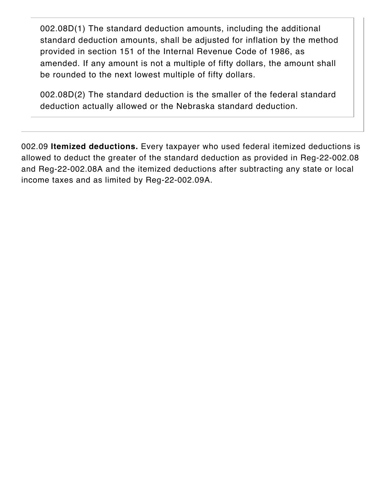002.08D(1) The standard deduction amounts, including the additional standard deduction amounts, shall be adjusted for inflation by the method provided in section 151 of the Internal Revenue Code of 1986, as amended. If any amount is not a multiple of fifty dollars, the amount shall be rounded to the next lowest multiple of fifty dollars.

002.08D(2) The standard deduction is the smaller of the federal standard deduction actually allowed or the Nebraska standard deduction.

002.09 **Itemized deductions.** Every taxpayer who used federal itemized deductions is allowed to deduct the greater of the standard deduction as provided in Reg-22-002.08 and Reg-22-002.08A and the itemized deductions after subtracting any state or local income taxes and as limited by Reg-22-002.09A.